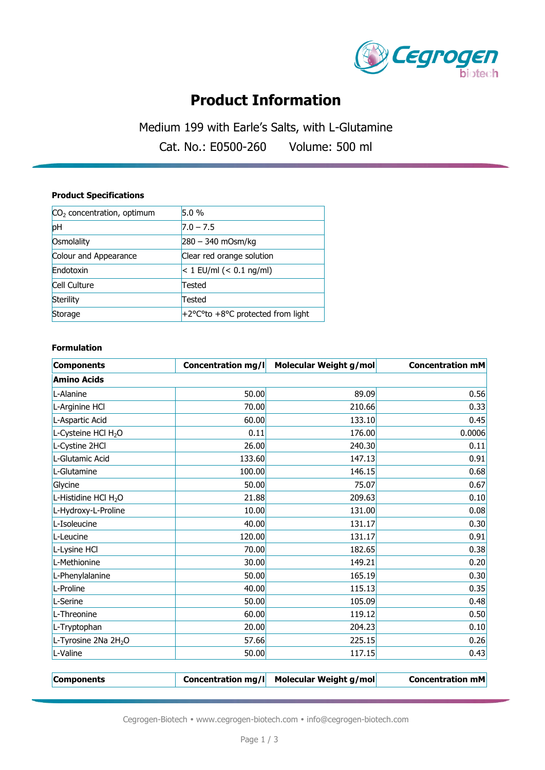

## **Product Information**

Medium 199 with Earle's Salts, with L-Glutamine

Cat. No.: E0500-260 Volume: 500 ml

### **Product Specifications**

| $CO2$ concentration, optimum | 5.0%                                                     |  |
|------------------------------|----------------------------------------------------------|--|
| pH                           | $7.0 - 7.5$                                              |  |
| Osmolality                   | $280 - 340$ mOsm/kg                                      |  |
| Colour and Appearance        | Clear red orange solution                                |  |
| Endotoxin                    | $< 1$ EU/ml (< 0.1 ng/ml)                                |  |
| Cell Culture                 | Tested                                                   |  |
| Sterility                    | Tested                                                   |  |
| Storage                      | $+2^{\circ}$ C <sup>o</sup> to +8°C protected from light |  |

#### **Formulation**

| <b>Components</b>                | Concentration mg/l | Molecular Weight g/mol | <b>Concentration mM</b> |
|----------------------------------|--------------------|------------------------|-------------------------|
| <b>Amino Acids</b>               |                    |                        |                         |
| L-Alanine                        | 50.00              | 89.09                  | 0.56                    |
| L-Arginine HCl                   | 70.00              | 210.66                 | 0.33                    |
| L-Aspartic Acid                  | 60.00              | 133.10                 | 0.45                    |
| L-Cysteine HCl H <sub>2</sub> O  | 0.11               | 176.00                 | 0.0006                  |
| L-Cystine 2HCl                   | 26.00              | 240.30                 | 0.11                    |
| L-Glutamic Acid                  | 133.60             | 147.13                 | 0.91                    |
| L-Glutamine                      | 100.00             | 146.15                 | 0.68                    |
| Glycine                          | 50.00              | 75.07                  | 0.67                    |
| L-Histidine HCl H <sub>2</sub> O | 21.88              | 209.63                 | 0.10                    |
| L-Hydroxy-L-Proline              | 10.00              | 131.00                 | 0.08                    |
| L-Isoleucine                     | 40.00              | 131.17                 | 0.30                    |
| L-Leucine                        | 120.00             | 131.17                 | 0.91                    |
| L-Lysine HCl                     | 70.00              | 182.65                 | 0.38                    |
| L-Methionine                     | 30.00              | 149.21                 | 0.20                    |
| L-Phenylalanine                  | 50.00              | 165.19                 | 0.30                    |
| L-Proline                        | 40.00              | 115.13                 | 0.35                    |
| L-Serine                         | 50.00              | 105.09                 | 0.48                    |
| L-Threonine                      | 60.00              | 119.12                 | 0.50                    |
| L-Tryptophan                     | 20.00              | 204.23                 | 0.10                    |
| L-Tyrosine 2Na 2H <sub>2</sub> O | 57.66              | 225.15                 | 0.26                    |
| L-Valine                         | 50.00              | 117.15                 | 0.43                    |
|                                  |                    |                        |                         |

**Components Concentration mg/l Molecular Weight g/mol Concentration mM**

Cegrogen-Biotech • www.cegrogen-biotech.com • info@cegrogen-biotech.com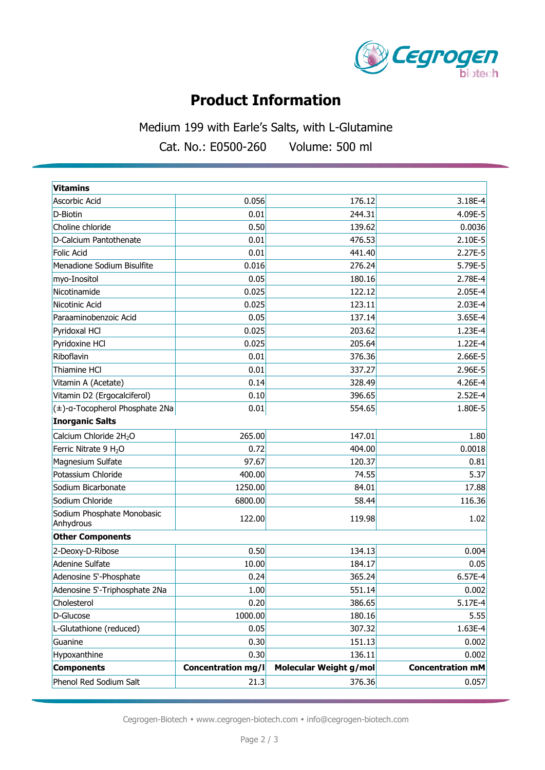

# **Product Information**

Medium 199 with Earle's Salts, with L-Glutamine

Cat. No.: E0500-260 Volume: 500 ml

| <b>Vitamins</b>                         |                           |                        |                         |
|-----------------------------------------|---------------------------|------------------------|-------------------------|
| Ascorbic Acid                           | 0.056                     | 176.12                 | 3.18E-4                 |
| D-Biotin                                | 0.01                      | 244.31                 | 4.09E-5                 |
| Choline chloride                        | 0.50                      | 139.62                 | 0.0036                  |
| D-Calcium Pantothenate                  | 0.01                      | 476.53                 | 2.10E-5                 |
| Folic Acid                              | 0.01                      | 441.40                 | 2.27E-5                 |
| Menadione Sodium Bisulfite              | 0.016                     | 276.24                 | 5.79E-5                 |
| myo-Inositol                            | 0.05                      | 180.16                 | 2.78E-4                 |
| Nicotinamide                            | 0.025                     | 122.12                 | 2.05E-4                 |
| Nicotinic Acid                          | 0.025                     | 123.11                 | 2.03E-4                 |
| Paraaminobenzoic Acid                   | 0.05                      | 137.14                 | 3.65E-4                 |
| Pyridoxal HCl                           | 0.025                     | 203.62                 | 1.23E-4                 |
| Pyridoxine HCl                          | 0.025                     | 205.64                 | 1.22E-4                 |
| Riboflavin                              | 0.01                      | 376.36                 | 2.66E-5                 |
| Thiamine HCl                            | 0.01                      | 337.27                 | 2.96E-5                 |
| Vitamin A (Acetate)                     | 0.14                      | 328.49                 | 4.26E-4                 |
| Vitamin D2 (Ergocalciferol)             | 0.10                      | 396.65                 | 2.52E-4                 |
| (±)-a-Tocopherol Phosphate 2Na          | 0.01                      | 554.65                 | 1.80E-5                 |
| <b>Inorganic Salts</b>                  |                           |                        |                         |
| Calcium Chloride 2H <sub>2</sub> O      | 265.00                    | 147.01                 | 1.80                    |
| Ferric Nitrate 9 H <sub>2</sub> O       | 0.72                      | 404.00                 | 0.0018                  |
| Magnesium Sulfate                       | 97.67                     | 120.37                 | 0.81                    |
| Potassium Chloride                      | 400.00                    | 74.55                  | 5.37                    |
| Sodium Bicarbonate                      | 1250.00                   | 84.01                  | 17.88                   |
| Sodium Chloride                         | 6800.00                   | 58.44                  | 116.36                  |
| Sodium Phosphate Monobasic<br>Anhydrous | 122.00                    | 119.98                 | 1.02                    |
| <b>Other Components</b>                 |                           |                        |                         |
| 2-Deoxy-D-Ribose                        | 0.50                      | 134.13                 | 0.004                   |
| <b>Adenine Sulfate</b>                  | 10.00                     | 184.17                 | 0.05                    |
| Adenosine 5'-Phosphate                  | 0.24                      | 365.24                 | 6.57E-4                 |
| Adenosine 5'-Triphosphate 2Na           | 1.00                      | 551.14                 | 0.002                   |
| Cholesterol                             | 0.20                      | 386.65                 | $5.17E-4$               |
| D-Glucose                               | 1000.00                   | 180.16                 | 5.55                    |
| L-Glutathione (reduced)                 | 0.05                      | 307.32                 | 1.63E-4                 |
| Guanine                                 | 0.30                      | 151.13                 | 0.002                   |
| Hypoxanthine                            | 0.30                      | 136.11                 | 0.002                   |
| <b>Components</b>                       | <b>Concentration mg/l</b> | Molecular Weight g/mol | <b>Concentration mM</b> |
| Phenol Red Sodium Salt                  | 21.3                      | 376.36                 | 0.057                   |

Cegrogen-Biotech • www.cegrogen-biotech.com • info@cegrogen-biotech.com